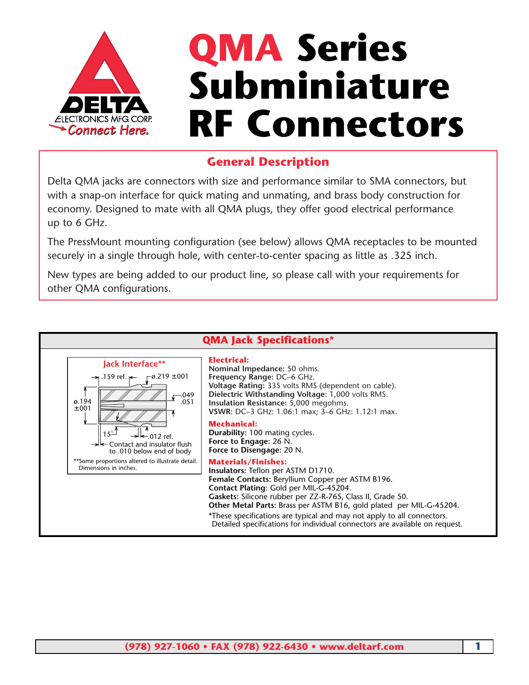

## **QMA Series Subminiature RF Connectors**

## **General Description**

Delta QMA jacks are connectors with size and performance similar to SMA connectors, but with a snap-on interface for quick mating and unmating, and brass body construction for economy. Designed to mate with all QMA plugs, they offer good electrical performance up to 6 GHz.

The PressMount mounting configuration (see below) allows QMA receptacles to be mounted securely in a single through hole, with center-to-center spacing as little as .325 inch.

New types are being added to our product line, so please call with your requirements for other QMA configurations.